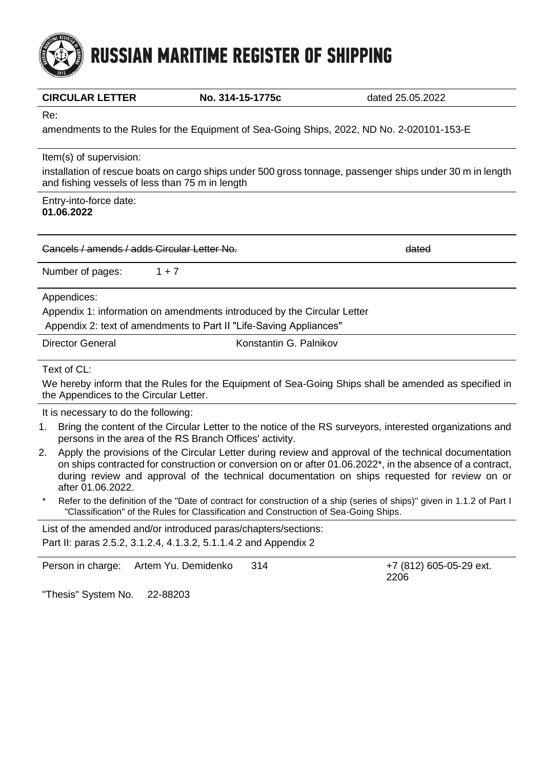# **RUSSIAN MARITIME REGISTER OF SHIPPING**

| ĸe:<br>amendments to the Rules for the Equipment of Sea-Going Ships, 2022, ND No. 2-020101-153-E                                                                                        |                        |       |
|-----------------------------------------------------------------------------------------------------------------------------------------------------------------------------------------|------------------------|-------|
| Item(s) of supervision:<br>installation of rescue boats on cargo ships under 500 gross tonnage, passenger ships under 30 m in length<br>and fishing vessels of less than 75 m in length |                        |       |
| Entry-into-force date:<br>01.06.2022                                                                                                                                                    |                        |       |
| Cancels / amends / adds Circular Letter No.                                                                                                                                             |                        | dated |
| Number of pages:<br>$1 + 7$                                                                                                                                                             |                        |       |
| Appendices:<br>Appendix 1: information on amendments introduced by the Circular Letter<br>Appendix 2: text of amendments to Part II "Life-Saving Appliances"                            |                        |       |
| <b>Director General</b>                                                                                                                                                                 | Konstantin G. Palnikov |       |
| Text of CL:                                                                                                                                                                             |                        |       |

We hereby inform that the Rules for the Equipment of Sea-Going Ships shall be amended as specified in the Appendices to the Circular Letter.

It is necessary to do the following:

- 1. Bring the content of the Circular Letter to the notice of the RS surveyors, interested organizations and persons in the area of the RS Branch Offices' activity.
- 2. Apply the provisions of the Circular Letter during review and approval of the technical documentation on ships contracted for construction or conversion on or after 01.06.2022\*, in the absence of a contract, during review and approval of the technical documentation on ships requested for review on or after 01.06.2022.
- Refer to the definition of the "Date of contract for construction of a ship (series of ships)" given in 1.1.2 of Part I "Classification" of the Rules for Classification and Construction of Sea-Going Ships.

List of the amended and/or introduced paras/chapters/sections: Part II: paras 2.5.2, 3.1.2.4, 4.1.3.2, 5.1.1.4.2 and Appendix 2

Person in charge: Artem Yu. Demidenko 314 +7 (812) 605-05-29 ext.

2206

"Thesis" System No. 22-88203



**CIRCULAR LETTER No. 314-15-1775c** dated 25.05.2022

Re: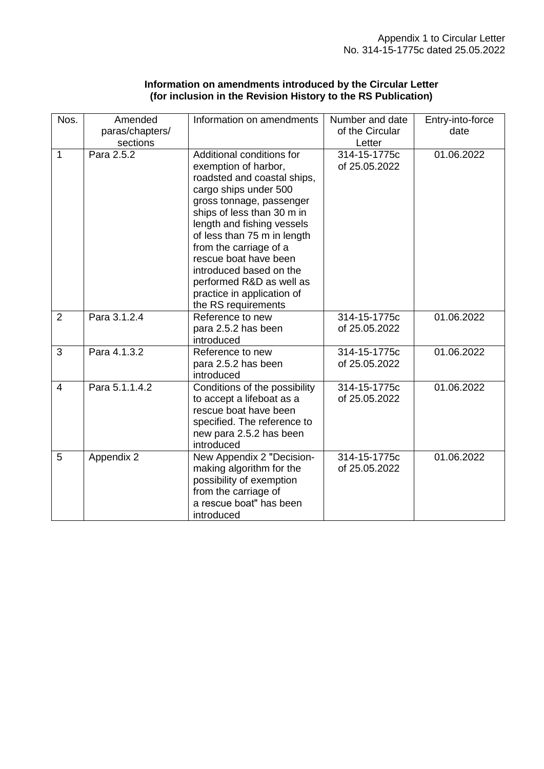| Information on amendments introduced by the Circular Letter   |  |
|---------------------------------------------------------------|--|
| (for inclusion in the Revision History to the RS Publication) |  |

| Nos.           | Amended                | Information on amendments         | Number and date        | Entry-into-force |
|----------------|------------------------|-----------------------------------|------------------------|------------------|
|                | paras/chapters/        |                                   | of the Circular        | date             |
| $\mathbf{1}$   | sections<br>Para 2.5.2 | Additional conditions for         | Letter<br>314-15-1775c |                  |
|                |                        | exemption of harbor,              | of 25.05.2022          | 01.06.2022       |
|                |                        | roadsted and coastal ships,       |                        |                  |
|                |                        | cargo ships under 500             |                        |                  |
|                |                        | gross tonnage, passenger          |                        |                  |
|                |                        | ships of less than 30 m in        |                        |                  |
|                |                        | length and fishing vessels        |                        |                  |
|                |                        | of less than 75 m in length       |                        |                  |
|                |                        | from the carriage of a            |                        |                  |
|                |                        | rescue boat have been             |                        |                  |
|                |                        | introduced based on the           |                        |                  |
|                |                        | performed R&D as well as          |                        |                  |
|                |                        | practice in application of        |                        |                  |
|                |                        | the RS requirements               |                        |                  |
| $\overline{2}$ | Para 3.1.2.4           | Reference to new                  | 314-15-1775c           | 01.06.2022       |
|                |                        | para 2.5.2 has been<br>introduced | of 25.05.2022          |                  |
| 3              | Para 4.1.3.2           | Reference to new                  | 314-15-1775c           | 01.06.2022       |
|                |                        | para 2.5.2 has been               | of 25.05.2022          |                  |
|                |                        | introduced                        |                        |                  |
| $\overline{4}$ | Para 5.1.1.4.2         | Conditions of the possibility     | 314-15-1775c           | 01.06.2022       |
|                |                        | to accept a lifeboat as a         | of 25.05.2022          |                  |
|                |                        | rescue boat have been             |                        |                  |
|                |                        | specified. The reference to       |                        |                  |
|                |                        | new para 2.5.2 has been           |                        |                  |
|                |                        | introduced                        |                        |                  |
| 5              | Appendix 2             | New Appendix 2 "Decision-         | 314-15-1775c           | 01.06.2022       |
|                |                        | making algorithm for the          | of 25.05.2022          |                  |
|                |                        | possibility of exemption          |                        |                  |
|                |                        | from the carriage of              |                        |                  |
|                |                        | a rescue boat" has been           |                        |                  |
|                |                        | introduced                        |                        |                  |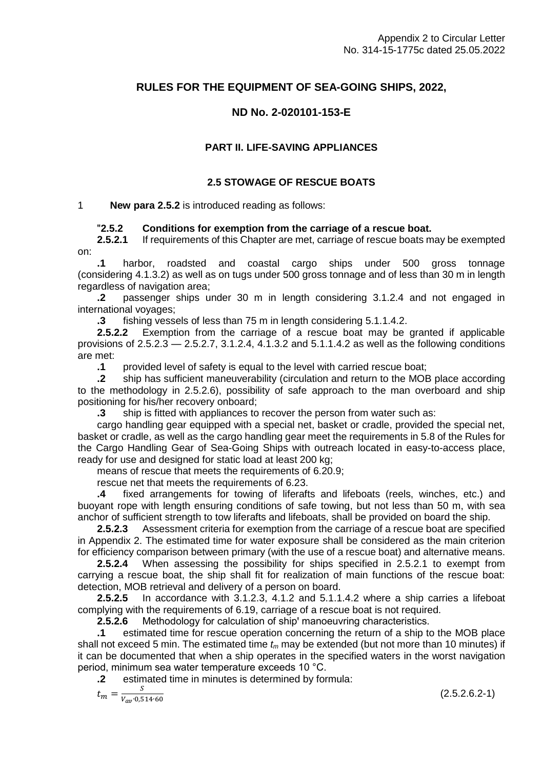# **RULES FOR THE EQUIPMENT OF SEA-GOING SHIPS, 2022,**

# **ND No. 2-020101-153-E**

#### **PART II. LIFE-SAVING APPLIANCES**

#### **2.5 STOWAGE OF RESCUE BOATS**

#### 1 **New para 2.5.2** is introduced reading as follows:

#### ʺ**2.5.2 Conditions for exemption from the carriage of a rescue boat.**

**2.5.2.1** If requirements of this Chapter are met, carriage of rescue boats may be exempted on:

**.1** harbor, roadsted and coastal cargo ships under 500 gross tonnage (considering 4.1.3.2) as well as on tugs under 500 gross tonnage and of less than 30 m in length regardless of navigation area;

**.2** passenger ships under 30 m in length considering 3.1.2.4 and not engaged in international voyages;

**.3** fishing vessels of less than 75 m in length considering 5.1.1.4.2.

**2.5.2.2** Exemption from the carriage of a rescue boat may be granted if applicable provisions of 2.5.2.3 — 2.5.2.7, 3.1.2.4, 4.1.3.2 and 5.1.1.4.2 as well as the following conditions are met:

**.1** provided level of safety is equal to the level with carried rescue boat;

**.2** ship has sufficient maneuverability (circulation and return to the MOB place according to the methodology in 2.5.2.6), possibility of safe approach to the man overboard and ship positioning for his/her recovery onboard;

**.3** ship is fitted with appliances to recover the person from water such as:

cargo handling gear equipped with a special net, basket or cradle, provided the special net, basket or cradle, as well as the cargo handling gear meet the requirements in 5.8 of the Rules for the Cargo Handling Gear of Sea-Going Ships with outreach located in easy-to-access place, ready for use and designed for static load at least 200 kg;

means of rescue that meets the requirements of 6.20.9;

rescue net that meets the requirements of 6.23.

**.4** fixed arrangements for towing of liferafts and lifeboats (reels, winches, etc.) and buoyant rope with length ensuring conditions of safe towing, but not less than 50 m, with sea anchor of sufficient strength to tow liferafts and lifeboats, shall be provided on board the ship.

**2.5.2.3** Assessment criteria for exemption from the carriage of a rescue boat are specified in Appendix 2. The estimated time for water exposure shall be considered as the main criterion for efficiency comparison between primary (with the use of a rescue boat) and alternative means.

**2.5.2.4** When assessing the possibility for ships specified in 2.5.2.1 to exempt from carrying a rescue boat, the ship shall fit for realization of main functions of the rescue boat: detection, MOB retrieval and delivery of a person on board.

**2.5.2.5** In accordance with 3.1.2.3, 4.1.2 and 5.1.1.4.2 where a ship carries a lifeboat complying with the requirements of 6.19, carriage of a rescue boat is not required.

**2.5.2.6** Methodology for calculation of ship' manoeuvring characteristics.

**.1** estimated time for rescue operation concerning the return of a ship to the MOB place shall not exceed 5 min. The estimated time *t<sup>m</sup>* may be extended (but not more than 10 minutes) if it can be documented that when a ship operates in the specified waters in the worst navigation period, minimum sea water temperature exceeds 10 °C.

**.2** estimated time in minutes is determined by formula:

$$
t_m = \frac{s}{v_{av} \cdot 0.514 \cdot 60}
$$

(2.5.2.6.2-1)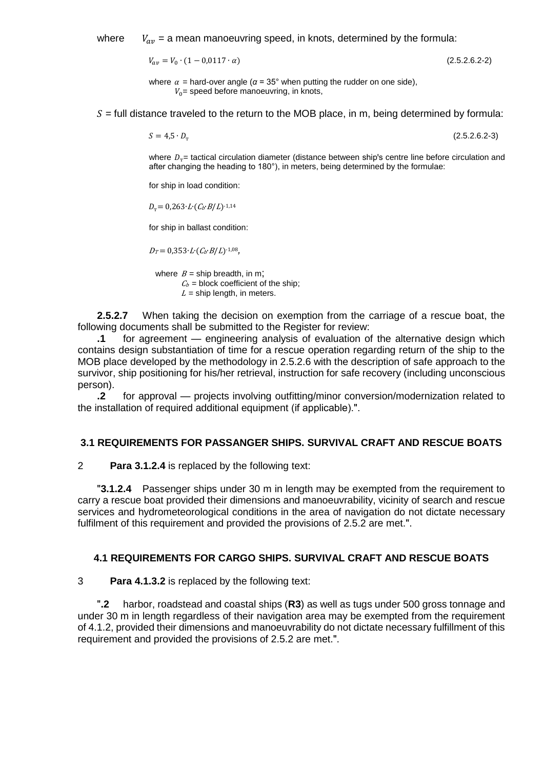where  $V_{av}$  = a mean manoeuvring speed, in knots, determined by the formula:

 $V_{av} = V_0 \cdot (1 - 0.0117 \cdot \alpha)$  (2.5.2.6.2-2)

where  $\alpha$  = hard-over angle ( $\alpha$  = 35° when putting the rudder on one side),  $V_0$  = speed before manoeuvring, in knots,

 $S =$  full distance traveled to the return to the MOB place, in m, being determined by formula:

 $S = 4.5 \cdot D_{\tau}$ 

(2.5.2.6.2-3)

where  $D<sub>r</sub>$  = tactical circulation diameter (distance between ship's centre line before circulation and after changing the heading to 180°), in meters, being determined by the formulae:

for ship in load condition:

 $D_{\rm T}= 0.263 \cdot L \cdot (C_b \cdot B/L)^{-1.14}$ 

for ship in ballast condition:

 $D_T = 0.353 \cdot L \cdot (C_b \cdot B/L)^{-1.08}$ ,

where  $B =$  ship breadth, in m;  $C_b$  = block coefficient of the ship;  $L =$ ship length, in meters.

**2.5.2.7** When taking the decision on exemption from the carriage of a rescue boat, the following documents shall be submitted to the Register for review:

**.1** for agreement — engineering analysis of evaluation of the alternative design which contains design substantiation of time for a rescue operation regarding return of the ship to the MOB place developed by the methodology in 2.5.2.6 with the description of safe approach to the survivor, ship positioning for his/her retrieval, instruction for safe recovery (including unconscious person).

**.2** for approval — projects involving outfitting/minor conversion/modernization related to the installation of required additional equipment (if applicable).".

#### **3.1 REQUIREMENTS FOR PASSANGER SHIPS. SURVIVAL CRAFT AND RESCUE BOATS**

2 **Para 3.1.2.4** is replaced by the following text:

**T3.1.2.4** Passenger ships under 30 m in length may be exempted from the requirement to carry a rescue boat provided their dimensions and manoeuvrability, vicinity of search and rescue services and hydrometeorological conditions in the area of navigation do not dictate necessary fulfilment of this requirement and provided the provisions of 2.5.2 are met.".

#### **4.1 REQUIREMENTS FOR CARGO SHIPS. SURVIVAL CRAFT AND RESCUE BOATS**

3 **Para 4.1.3.2** is replaced by the following text:

ʺ**.2** harbor, roadstead and coastal ships (**R3**) as well as tugs under 500 gross tonnage and under 30 m in length regardless of their navigation area may be exempted from the requirement of 4.1.2, provided their dimensions and manoeuvrability do not dictate necessary fulfillment of this requirement and provided the provisions of 2.5.2 are met.".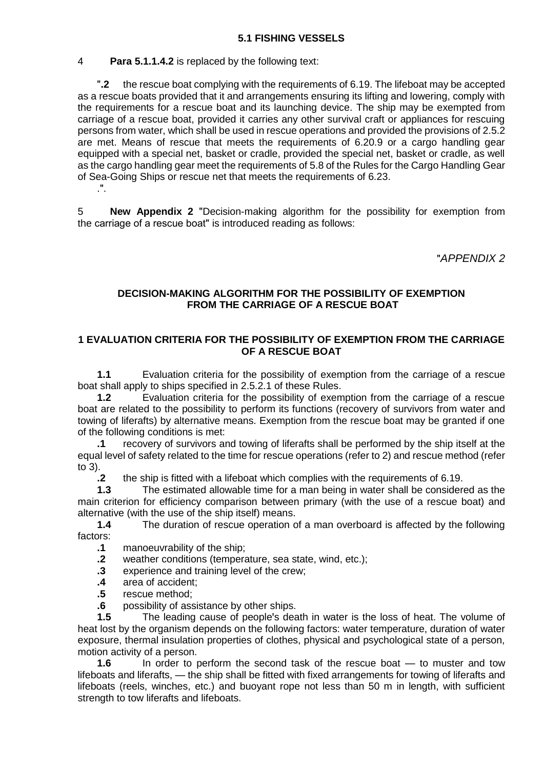# 4 **Para 5.1.1.4.2** is replaced by the following text:

ʺ**.2** the rescue boat complying with the requirements of 6.19. The lifeboat may be accepted as a rescue boats provided that it and arrangements ensuring its lifting and lowering, comply with the requirements for a rescue boat and its launching device. The ship may be exempted from carriage of a rescue boat, provided it carries any other survival craft or appliances for rescuing persons from water, which shall be used in rescue operations and provided the provisions of 2.5.2 are met. Means of rescue that meets the requirements of 6.20.9 or a cargo handling gear equipped with a special net, basket or cradle, provided the special net, basket or cradle, as well as the cargo handling gear meet the requirements of 5.8 of the Rules for the Cargo Handling Gear of Sea-Going Ships or rescue net that meets the requirements of 6.23.  $\mathbf{H}$ .

5 **New Appendix 2** "Decision-making algorithm for the possibility for exemption from the carriage of a rescue boat" is introduced reading as follows:

ʺ*APPENDIX 2*

# **DECISION-MAKING ALGORITHM FOR THE POSSIBILITY OF EXEMPTION FROM THE CARRIAGE OF A RESCUE BOAT**

## **1 EVALUATION CRITERIA FOR THE POSSIBILITY OF EXEMPTION FROM THE CARRIAGE OF A RESCUE BOAT**

**1.1** Evaluation criteria for the possibility of exemption from the carriage of a rescue boat shall apply to ships specified in 2.5.2.1 of these Rules.

**1.2** Evaluation criteria for the possibility of exemption from the carriage of a rescue boat are related to the possibility to perform its functions (recovery of survivors from water and towing of liferafts) by alternative means. Exemption from the rescue boat may be granted if one of the following conditions is met:

**.1** recovery of survivors and towing of liferafts shall be performed by the ship itself at the equal level of safety related to the time for rescue operations (refer to 2) and rescue method (refer to 3).

**.2** the ship is fitted with a lifeboat which complies with the requirements of 6.19.

**1.3** The estimated allowable time for a man being in water shall be considered as the main criterion for efficiency comparison between primary (with the use of a rescue boat) and alternative (with the use of the ship itself) means.

**1.4** The duration of rescue operation of a man overboard is affected by the following factors:

- **.1** manoeuvrability of the ship;
- **.2** weather conditions (temperature, sea state, wind, etc.);
- **.3** experience and training level of the crew;
- **.4** area of accident;
- **.5** rescue method;
- **.6** possibility of assistance by other ships.

**1.5** The leading cause of people's death in water is the loss of heat. The volume of heat lost by the organism depends on the following factors: water temperature, duration of water exposure, thermal insulation properties of clothes, physical and psychological state of a person, motion activity of a person.

**1.6** In order to perform the second task of the rescue boat — to muster and tow lifeboats and liferafts, — the ship shall be fitted with fixed arrangements for towing of liferafts and lifeboats (reels, winches, etc.) and buoyant rope not less than 50 m in length, with sufficient strength to tow liferafts and lifeboats.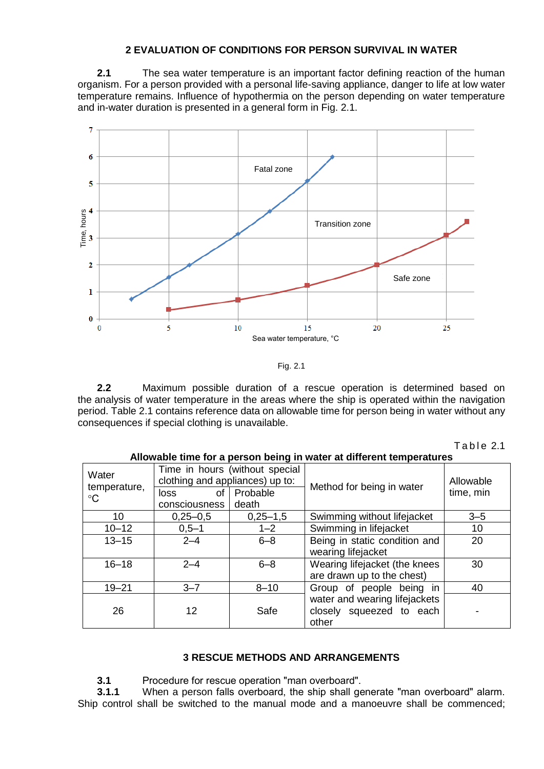# **2 EVALUATION OF CONDITIONS FOR PERSON SURVIVAL IN WATER**

**2.1** The sea water temperature is an important factor defining reaction of the human organism. For a person provided with a personal life-saving appliance, danger to life at low water temperature remains. Influence of hypothermia on the person depending on water temperature and in-water duration is presented in a general form in Fig. 2.1.



Fig. 2.1

**2.2** Maximum possible duration of a rescue operation is determined based on the analysis of water temperature in the areas where the ship is operated within the navigation period. Table 2.1 contains reference data on allowable time for person being in water without any consequences if special clothing is unavailable.

| Table 2.1 |  |  |
|-----------|--|--|
|-----------|--|--|

| Allowable time for a person being in water at different temperatures |                                                                   |                   |                                                                    |           |  |
|----------------------------------------------------------------------|-------------------------------------------------------------------|-------------------|--------------------------------------------------------------------|-----------|--|
| Water<br>temperature,<br>$\rm ^{\circ}C$                             | Time in hours (without special<br>clothing and appliances) up to: |                   |                                                                    | Allowable |  |
|                                                                      | 0f<br>loss<br>consciousness                                       | Probable<br>death | Method for being in water                                          | time, min |  |
| 10                                                                   | $0,25 - 0,5$                                                      | $0,25 - 1,5$      | Swimming without lifejacket                                        | $3 - 5$   |  |
| $10 - 12$                                                            | $0,5 - 1$                                                         | $1 - 2$           | Swimming in lifejacket                                             | 10        |  |
| $13 - 15$                                                            | $2 - 4$                                                           | $6 - 8$           | Being in static condition and<br>wearing lifejacket                | 20        |  |
| $16 - 18$                                                            | $2 - 4$                                                           | $6 - 8$           | Wearing lifejacket (the knees<br>are drawn up to the chest)        | 30        |  |
| $19 - 21$                                                            | $3 - 7$                                                           | $8 - 10$          | Group of people being in                                           | 40        |  |
| 26                                                                   | 12                                                                | Safe              | water and wearing lifejackets<br>closely squeezed to each<br>other |           |  |

# **3 RESCUE METHODS AND ARRANGEMENTS**

**3.1** Procedure for rescue operation "man overboard".

**3.1.1** When a person falls overboard, the ship shall generate "man overboard" alarm. Ship control shall be switched to the manual mode and a manoeuvre shall be commenced;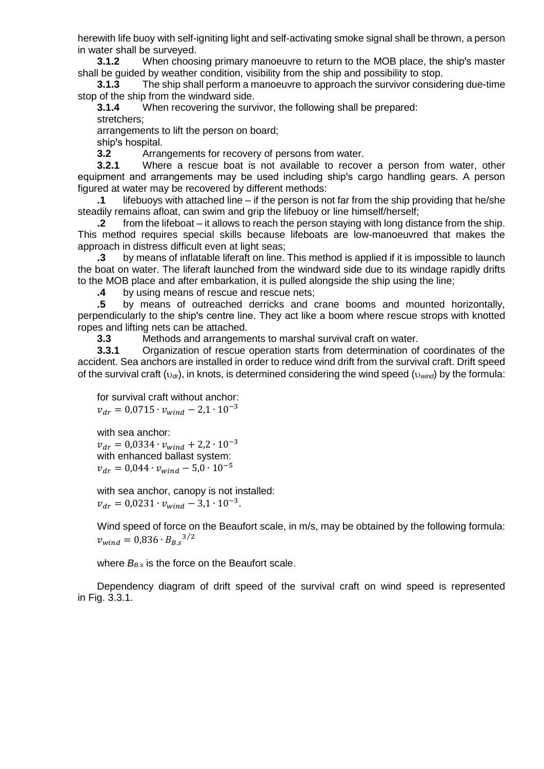herewith life buoy with self-igniting light and self-activating smoke signal shall be thrown, a person in water shall be surveyed.

**3.1.2** When choosing primary manoeuvre to return to the MOB place, the ship's master shall be guided by weather condition, visibility from the ship and possibility to stop.

**3.1.3** The ship shall perform a manoeuvre to approach the survivor considering due-time stop of the ship from the windward side.

**3.1.4** When recovering the survivor, the following shall be prepared: stretchers;

arrangements to lift the person on board;

ship's hospital.

**3.2** Arrangements for recovery of persons from water.

**3.2.1** Where a rescue boat is not available to recover a person from water, other equipment and arrangements may be used including ship's cargo handling gears. A person figured at water may be recovered by different methods:

**.1** lifebuoys with attached line – if the person is not far from the ship providing that he/she steadily remains afloat, can swim and grip the lifebuoy or line himself/herself;

**.2** from the lifeboat – it allows to reach the person staying with long distance from the ship. This method requires special skills because lifeboats are low-manoeuvred that makes the approach in distress difficult even at light seas;

**.3** by means of inflatable liferaft on line. This method is applied if it is impossible to launch the boat on water. The liferaft launched from the windward side due to its windage rapidly drifts to the MOB place and after embarkation, it is pulled alongside the ship using the line;

**.4** by using means of rescue and rescue nets;

**.5** by means of outreached derricks and crane booms and mounted horizontally, perpendicularly to the ship's centre line. They act like a boom where rescue strops with knotted ropes and lifting nets can be attached.

**3.3** Methods and arrangements to marshal survival craft on water.

**3.3.1** Organization of rescue operation starts from determination of coordinates of the accident. Sea anchors are installed in order to reduce wind drift from the survival craft. Drift speed of the survival craft (*dr*), in knots, is determined considering the wind speed (*wind*) by the formula:

```
for survival craft without anchor:
v_{dr} = 0.0715 \cdot v_{wind} - 2.1 \cdot 10^{-3}
```
with sea anchor:  $v_{dr} = 0.0334 \cdot v_{wind} + 2.2 \cdot 10^{-3}$ with enhanced ballast system:  $v_{dr} = 0.044 \cdot v_{wind} - 5.0 \cdot 10^{-5}$ 

with sea anchor, canopy is not installed:  $v_{dr} = 0.0231 \cdot v_{wind} - 3.1 \cdot 10^{-3}.$ 

Wind speed of force on the Beaufort scale, in m/s, may be obtained by the following formula:  $v_{wind} = 0.836 \cdot B_{B.s}^{3/2}$ 

where  $B_{B,s}$  is the force on the Beaufort scale.

Dependency diagram of drift speed of the survival craft on wind speed is represented in Fig. 3.3.1.